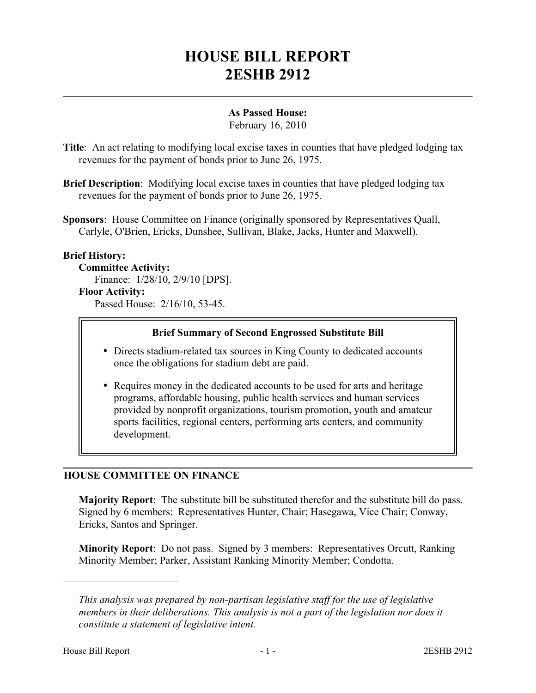# **HOUSE BILL REPORT 2ESHB 2912**

## **As Passed House:**

February 16, 2010

- **Title**: An act relating to modifying local excise taxes in counties that have pledged lodging tax revenues for the payment of bonds prior to June 26, 1975.
- **Brief Description**: Modifying local excise taxes in counties that have pledged lodging tax revenues for the payment of bonds prior to June 26, 1975.
- **Sponsors**: House Committee on Finance (originally sponsored by Representatives Quall, Carlyle, O'Brien, Ericks, Dunshee, Sullivan, Blake, Jacks, Hunter and Maxwell).

### **Brief History:**

**Committee Activity:** Finance: 1/28/10, 2/9/10 [DPS].

# **Floor Activity:**

Passed House: 2/16/10, 53-45.

#### **Brief Summary of Second Engrossed Substitute Bill**

- Directs stadium-related tax sources in King County to dedicated accounts once the obligations for stadium debt are paid.
- Requires money in the dedicated accounts to be used for arts and heritage programs, affordable housing, public health services and human services provided by nonprofit organizations, tourism promotion, youth and amateur sports facilities, regional centers, performing arts centers, and community development.

### **HOUSE COMMITTEE ON FINANCE**

**Majority Report**: The substitute bill be substituted therefor and the substitute bill do pass. Signed by 6 members: Representatives Hunter, Chair; Hasegawa, Vice Chair; Conway, Ericks, Santos and Springer.

**Minority Report**: Do not pass. Signed by 3 members: Representatives Orcutt, Ranking Minority Member; Parker, Assistant Ranking Minority Member; Condotta.

––––––––––––––––––––––

*This analysis was prepared by non-partisan legislative staff for the use of legislative members in their deliberations. This analysis is not a part of the legislation nor does it constitute a statement of legislative intent.*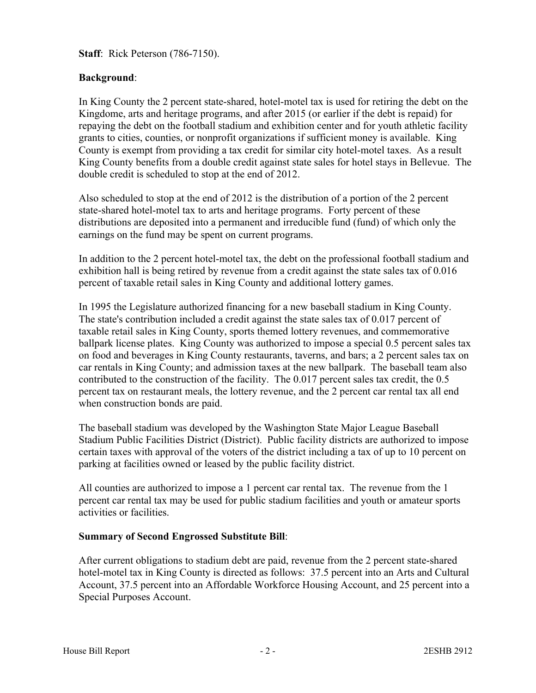**Staff**: Rick Peterson (786-7150).

## **Background**:

In King County the 2 percent state-shared, hotel-motel tax is used for retiring the debt on the Kingdome, arts and heritage programs, and after 2015 (or earlier if the debt is repaid) for repaying the debt on the football stadium and exhibition center and for youth athletic facility grants to cities, counties, or nonprofit organizations if sufficient money is available. King County is exempt from providing a tax credit for similar city hotel-motel taxes. As a result King County benefits from a double credit against state sales for hotel stays in Bellevue. The double credit is scheduled to stop at the end of 2012.

Also scheduled to stop at the end of 2012 is the distribution of a portion of the 2 percent state-shared hotel-motel tax to arts and heritage programs. Forty percent of these distributions are deposited into a permanent and irreducible fund (fund) of which only the earnings on the fund may be spent on current programs.

In addition to the 2 percent hotel-motel tax, the debt on the professional football stadium and exhibition hall is being retired by revenue from a credit against the state sales tax of 0.016 percent of taxable retail sales in King County and additional lottery games.

In 1995 the Legislature authorized financing for a new baseball stadium in King County. The state's contribution included a credit against the state sales tax of 0.017 percent of taxable retail sales in King County, sports themed lottery revenues, and commemorative ballpark license plates. King County was authorized to impose a special 0.5 percent sales tax on food and beverages in King County restaurants, taverns, and bars; a 2 percent sales tax on car rentals in King County; and admission taxes at the new ballpark. The baseball team also contributed to the construction of the facility. The 0.017 percent sales tax credit, the 0.5 percent tax on restaurant meals, the lottery revenue, and the 2 percent car rental tax all end when construction bonds are paid.

The baseball stadium was developed by the Washington State Major League Baseball Stadium Public Facilities District (District). Public facility districts are authorized to impose certain taxes with approval of the voters of the district including a tax of up to 10 percent on parking at facilities owned or leased by the public facility district.

All counties are authorized to impose a 1 percent car rental tax. The revenue from the 1 percent car rental tax may be used for public stadium facilities and youth or amateur sports activities or facilities.

### **Summary of Second Engrossed Substitute Bill**:

After current obligations to stadium debt are paid, revenue from the 2 percent state-shared hotel-motel tax in King County is directed as follows: 37.5 percent into an Arts and Cultural Account, 37.5 percent into an Affordable Workforce Housing Account, and 25 percent into a Special Purposes Account.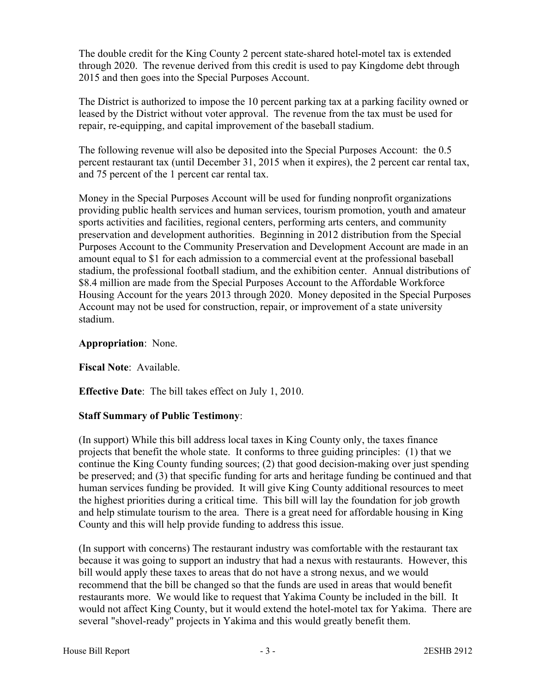The double credit for the King County 2 percent state-shared hotel-motel tax is extended through 2020. The revenue derived from this credit is used to pay Kingdome debt through 2015 and then goes into the Special Purposes Account.

The District is authorized to impose the 10 percent parking tax at a parking facility owned or leased by the District without voter approval. The revenue from the tax must be used for repair, re-equipping, and capital improvement of the baseball stadium.

The following revenue will also be deposited into the Special Purposes Account: the 0.5 percent restaurant tax (until December 31, 2015 when it expires), the 2 percent car rental tax, and 75 percent of the 1 percent car rental tax.

Money in the Special Purposes Account will be used for funding nonprofit organizations providing public health services and human services, tourism promotion, youth and amateur sports activities and facilities, regional centers, performing arts centers, and community preservation and development authorities. Beginning in 2012 distribution from the Special Purposes Account to the Community Preservation and Development Account are made in an amount equal to \$1 for each admission to a commercial event at the professional baseball stadium, the professional football stadium, and the exhibition center. Annual distributions of \$8.4 million are made from the Special Purposes Account to the Affordable Workforce Housing Account for the years 2013 through 2020. Money deposited in the Special Purposes Account may not be used for construction, repair, or improvement of a state university stadium.

#### **Appropriation**: None.

**Fiscal Note**: Available.

**Effective Date**: The bill takes effect on July 1, 2010.

### **Staff Summary of Public Testimony**:

(In support) While this bill address local taxes in King County only, the taxes finance projects that benefit the whole state. It conforms to three guiding principles: (1) that we continue the King County funding sources; (2) that good decision-making over just spending be preserved; and (3) that specific funding for arts and heritage funding be continued and that human services funding be provided. It will give King County additional resources to meet the highest priorities during a critical time. This bill will lay the foundation for job growth and help stimulate tourism to the area. There is a great need for affordable housing in King County and this will help provide funding to address this issue.

(In support with concerns) The restaurant industry was comfortable with the restaurant tax because it was going to support an industry that had a nexus with restaurants. However, this bill would apply these taxes to areas that do not have a strong nexus, and we would recommend that the bill be changed so that the funds are used in areas that would benefit restaurants more. We would like to request that Yakima County be included in the bill. It would not affect King County, but it would extend the hotel-motel tax for Yakima. There are several "shovel-ready" projects in Yakima and this would greatly benefit them.